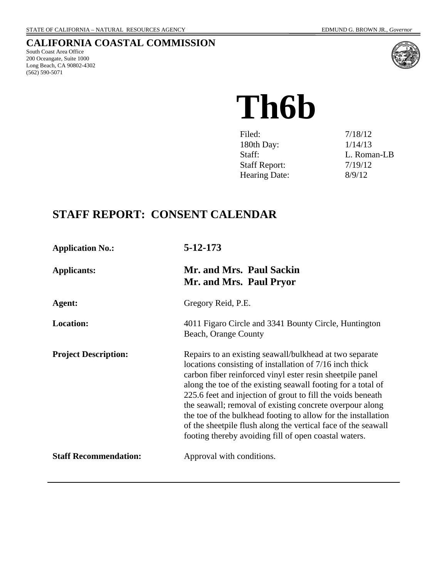## **CALIFORNIA COASTAL COMMISSION**

South Coast Area Office 200 Oceangate, Suite 1000 Long Beach, CA 90802-4302 (562) 590-5071



# **Th6b**

| Filed:               | 7/18/12     |
|----------------------|-------------|
| 180th Day:           | 1/14/13     |
| Staff:               | L. Roman-LB |
| <b>Staff Report:</b> | 7/19/12     |
| <b>Hearing Date:</b> | 8/9/12      |
|                      |             |

# **STAFF REPORT: CONSENT CALENDAR**

| <b>Application No.:</b>      | 5-12-173                                                                                                                                                                                                                                                                                                                                                                                                                                                                                                                                                              |
|------------------------------|-----------------------------------------------------------------------------------------------------------------------------------------------------------------------------------------------------------------------------------------------------------------------------------------------------------------------------------------------------------------------------------------------------------------------------------------------------------------------------------------------------------------------------------------------------------------------|
| <b>Applicants:</b>           | Mr. and Mrs. Paul Sackin<br>Mr. and Mrs. Paul Pryor                                                                                                                                                                                                                                                                                                                                                                                                                                                                                                                   |
| Agent:                       | Gregory Reid, P.E.                                                                                                                                                                                                                                                                                                                                                                                                                                                                                                                                                    |
| <b>Location:</b>             | 4011 Figaro Circle and 3341 Bounty Circle, Huntington<br>Beach, Orange County                                                                                                                                                                                                                                                                                                                                                                                                                                                                                         |
| <b>Project Description:</b>  | Repairs to an existing seawall/bulkhead at two separate<br>locations consisting of installation of 7/16 inch thick<br>carbon fiber reinforced vinyl ester resin sheetpile panel<br>along the toe of the existing seawall footing for a total of<br>225.6 feet and injection of grout to fill the voids beneath<br>the seawall; removal of existing concrete overpour along<br>the toe of the bulkhead footing to allow for the installation<br>of the sheetpile flush along the vertical face of the seawall<br>footing thereby avoiding fill of open coastal waters. |
| <b>Staff Recommendation:</b> | Approval with conditions.                                                                                                                                                                                                                                                                                                                                                                                                                                                                                                                                             |
|                              |                                                                                                                                                                                                                                                                                                                                                                                                                                                                                                                                                                       |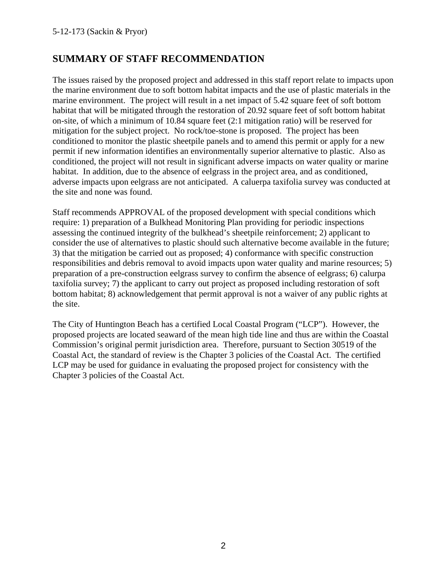## **SUMMARY OF STAFF RECOMMENDATION**

The issues raised by the proposed project and addressed in this staff report relate to impacts upon the marine environment due to soft bottom habitat impacts and the use of plastic materials in the marine environment. The project will result in a net impact of 5.42 square feet of soft bottom habitat that will be mitigated through the restoration of 20.92 square feet of soft bottom habitat on-site, of which a minimum of 10.84 square feet (2:1 mitigation ratio) will be reserved for mitigation for the subject project. No rock/toe-stone is proposed. The project has been conditioned to monitor the plastic sheetpile panels and to amend this permit or apply for a new permit if new information identifies an environmentally superior alternative to plastic. Also as conditioned, the project will not result in significant adverse impacts on water quality or marine habitat. In addition, due to the absence of eelgrass in the project area, and as conditioned, adverse impacts upon eelgrass are not anticipated. A caluerpa taxifolia survey was conducted at the site and none was found.

Staff recommends APPROVAL of the proposed development with special conditions which require: 1) preparation of a Bulkhead Monitoring Plan providing for periodic inspections assessing the continued integrity of the bulkhead's sheetpile reinforcement; 2) applicant to consider the use of alternatives to plastic should such alternative become available in the future; 3) that the mitigation be carried out as proposed; 4) conformance with specific construction responsibilities and debris removal to avoid impacts upon water quality and marine resources; 5) preparation of a pre-construction eelgrass survey to confirm the absence of eelgrass; 6) calurpa taxifolia survey; 7) the applicant to carry out project as proposed including restoration of soft bottom habitat; 8) acknowledgement that permit approval is not a waiver of any public rights at the site.

The City of Huntington Beach has a certified Local Coastal Program ("LCP"). However, the proposed projects are located seaward of the mean high tide line and thus are within the Coastal Commission's original permit jurisdiction area. Therefore, pursuant to Section 30519 of the Coastal Act, the standard of review is the Chapter 3 policies of the Coastal Act. The certified LCP may be used for guidance in evaluating the proposed project for consistency with the Chapter 3 policies of the Coastal Act.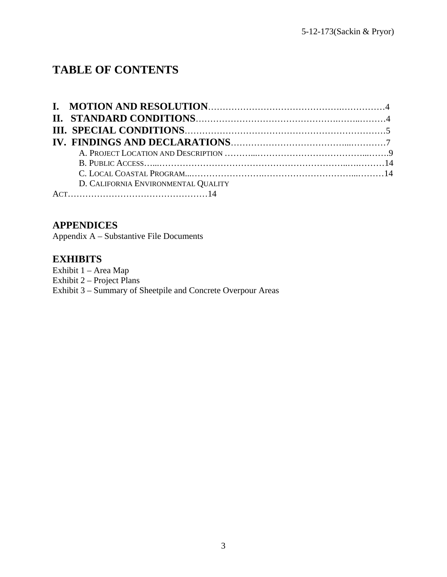# **TABLE OF CONTENTS**

| D. CALIFORNIA ENVIRONMENTAL QUALITY |  |
|-------------------------------------|--|
|                                     |  |

## **APPENDICES**

Appendix A – Substantive File Documents

#### **EXHIBITS**

Exhibit 1 – Area Map Exhibit 2 – Project Plans Exhibit 3 – Summary of Sheetpile and Concrete Overpour Areas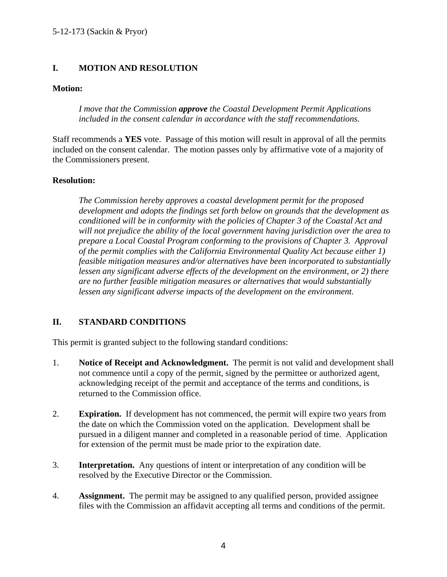#### **I. MOTION AND RESOLUTION**

#### **Motion:**

*I move that the Commission approve the Coastal Development Permit Applications included in the consent calendar in accordance with the staff recommendations.* 

Staff recommends a **YES** vote. Passage of this motion will result in approval of all the permits included on the consent calendar. The motion passes only by affirmative vote of a majority of the Commissioners present.

#### **Resolution:**

*The Commission hereby approves a coastal development permit for the proposed development and adopts the findings set forth below on grounds that the development as conditioned will be in conformity with the policies of Chapter 3 of the Coastal Act and will not prejudice the ability of the local government having jurisdiction over the area to prepare a Local Coastal Program conforming to the provisions of Chapter 3. Approval of the permit complies with the California Environmental Quality Act because either 1) feasible mitigation measures and/or alternatives have been incorporated to substantially lessen any significant adverse effects of the development on the environment, or 2) there are no further feasible mitigation measures or alternatives that would substantially lessen any significant adverse impacts of the development on the environment.* 

#### **II. STANDARD CONDITIONS**

This permit is granted subject to the following standard conditions:

- 1. **Notice of Receipt and Acknowledgment.** The permit is not valid and development shall not commence until a copy of the permit, signed by the permittee or authorized agent, acknowledging receipt of the permit and acceptance of the terms and conditions, is returned to the Commission office.
- 2. **Expiration.** If development has not commenced, the permit will expire two years from the date on which the Commission voted on the application. Development shall be pursued in a diligent manner and completed in a reasonable period of time. Application for extension of the permit must be made prior to the expiration date.
- 3. **Interpretation.** Any questions of intent or interpretation of any condition will be resolved by the Executive Director or the Commission.
- 4. **Assignment.** The permit may be assigned to any qualified person, provided assignee files with the Commission an affidavit accepting all terms and conditions of the permit.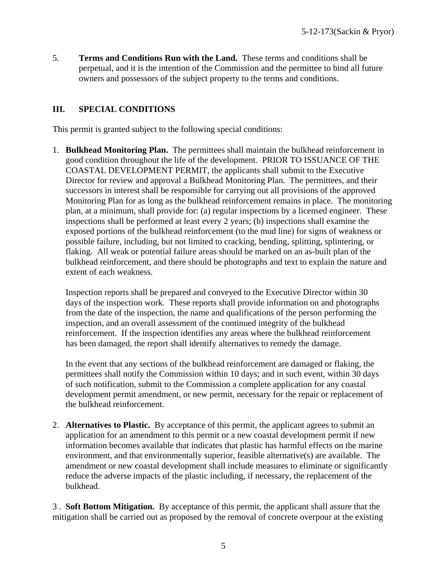5. **Terms and Conditions Run with the Land.** These terms and conditions shall be perpetual, and it is the intention of the Commission and the permittee to bind all future owners and possessors of the subject property to the terms and conditions.

#### **III. SPECIAL CONDITIONS**

This permit is granted subject to the following special conditions:

1. **Bulkhead Monitoring Plan.** The permittees shall maintain the bulkhead reinforcement in good condition throughout the life of the development. PRIOR TO ISSUANCE OF THE COASTAL DEVELOPMENT PERMIT, the applicants shall submit to the Executive Director for review and approval a Bulkhead Monitoring Plan. The permittees, and their successors in interest shall be responsible for carrying out all provisions of the approved Monitoring Plan for as long as the bulkhead reinforcement remains in place. The monitoring plan, at a minimum, shall provide for: (a) regular inspections by a licensed engineer. These inspections shall be performed at least every 2 years; (b) inspections shall examine the exposed portions of the bulkhead reinforcement (to the mud line) for signs of weakness or possible failure, including, but not limited to cracking, bending, splitting, splintering, or flaking. All weak or potential failure areas should be marked on an as-built plan of the bulkhead reinforcement, and there should be photographs and text to explain the nature and extent of each weakness.

Inspection reports shall be prepared and conveyed to the Executive Director within 30 days of the inspection work. These reports shall provide information on and photographs from the date of the inspection, the name and qualifications of the person performing the inspection, and an overall assessment of the continued integrity of the bulkhead reinforcement. If the inspection identifies any areas where the bulkhead reinforcement has been damaged, the report shall identify alternatives to remedy the damage.

In the event that any sections of the bulkhead reinforcement are damaged or flaking, the permittees shall notify the Commission within 10 days; and in such event, within 30 days of such notification, submit to the Commission a complete application for any coastal development permit amendment, or new permit, necessary for the repair or replacement of the bulkhead reinforcement.

2. **Alternatives to Plastic.** By acceptance of this permit, the applicant agrees to submit an application for an amendment to this permit or a new coastal development permit if new information becomes available that indicates that plastic has harmful effects on the marine environment, and that environmentally superior, feasible alternative(s) are available. The amendment or new coastal development shall include measures to eliminate or significantly reduce the adverse impacts of the plastic including, if necessary, the replacement of the bulkhead.

3 . **Soft Bottom Mitigation.** By acceptance of this permit, the applicant shall assure that the mitigation shall be carried out as proposed by the removal of concrete overpour at the existing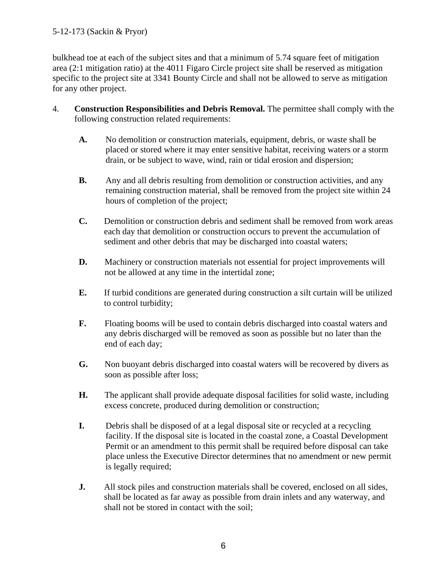#### 5-12-173 (Sackin & Pryor)

bulkhead toe at each of the subject sites and that a minimum of 5.74 square feet of mitigation area (2:1 mitigation ratio) at the 4011 Figaro Circle project site shall be reserved as mitigation specific to the project site at 3341 Bounty Circle and shall not be allowed to serve as mitigation for any other project.

- 4. **Construction Responsibilities and Debris Removal.** The permittee shall comply with the following construction related requirements:
	- **A.** No demolition or construction materials, equipment, debris, or waste shall be placed or stored where it may enter sensitive habitat, receiving waters or a storm drain, or be subject to wave, wind, rain or tidal erosion and dispersion;
	- **B.** Any and all debris resulting from demolition or construction activities, and any remaining construction material, shall be removed from the project site within 24 hours of completion of the project;
	- **C.** Demolition or construction debris and sediment shall be removed from work areas each day that demolition or construction occurs to prevent the accumulation of sediment and other debris that may be discharged into coastal waters;
	- **D.** Machinery or construction materials not essential for project improvements will not be allowed at any time in the intertidal zone;
	- **E.** If turbid conditions are generated during construction a silt curtain will be utilized to control turbidity;
	- **F.** Floating booms will be used to contain debris discharged into coastal waters and any debris discharged will be removed as soon as possible but no later than the end of each day;
	- **G.** Non buoyant debris discharged into coastal waters will be recovered by divers as soon as possible after loss;
	- **H.** The applicant shall provide adequate disposal facilities for solid waste, including excess concrete, produced during demolition or construction;
	- **I.** Debris shall be disposed of at a legal disposal site or recycled at a recycling facility. If the disposal site is located in the coastal zone, a Coastal Development Permit or an amendment to this permit shall be required before disposal can take place unless the Executive Director determines that no amendment or new permit is legally required;
	- **J.** All stock piles and construction materials shall be covered, enclosed on all sides, shall be located as far away as possible from drain inlets and any waterway, and shall not be stored in contact with the soil;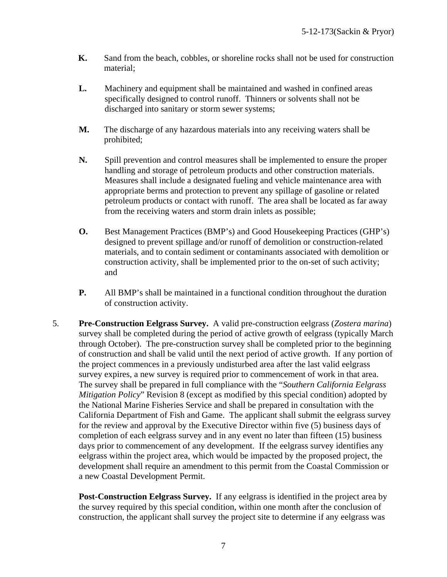- **K.** Sand from the beach, cobbles, or shoreline rocks shall not be used for construction material;
- **L.** Machinery and equipment shall be maintained and washed in confined areas specifically designed to control runoff. Thinners or solvents shall not be discharged into sanitary or storm sewer systems;
- **M.** The discharge of any hazardous materials into any receiving waters shall be prohibited;
- **N.** Spill prevention and control measures shall be implemented to ensure the proper handling and storage of petroleum products and other construction materials. Measures shall include a designated fueling and vehicle maintenance area with appropriate berms and protection to prevent any spillage of gasoline or related petroleum products or contact with runoff. The area shall be located as far away from the receiving waters and storm drain inlets as possible;
- **O.** Best Management Practices (BMP's) and Good Housekeeping Practices (GHP's) designed to prevent spillage and/or runoff of demolition or construction-related materials, and to contain sediment or contaminants associated with demolition or construction activity, shall be implemented prior to the on-set of such activity; and
- **P.** All BMP's shall be maintained in a functional condition throughout the duration of construction activity.
- 5. **Pre-Construction Eelgrass Survey.** A valid pre-construction eelgrass (*Zostera marina*) survey shall be completed during the period of active growth of eelgrass (typically March through October). The pre-construction survey shall be completed prior to the beginning of construction and shall be valid until the next period of active growth. If any portion of the project commences in a previously undisturbed area after the last valid eelgrass survey expires, a new survey is required prior to commencement of work in that area. The survey shall be prepared in full compliance with the "*Southern California Eelgrass Mitigation Policy*" Revision 8 (except as modified by this special condition) adopted by the National Marine Fisheries Service and shall be prepared in consultation with the California Department of Fish and Game. The applicant shall submit the eelgrass survey for the review and approval by the Executive Director within five (5) business days of completion of each eelgrass survey and in any event no later than fifteen (15) business days prior to commencement of any development. If the eelgrass survey identifies any eelgrass within the project area, which would be impacted by the proposed project, the development shall require an amendment to this permit from the Coastal Commission or a new Coastal Development Permit.

**Post-Construction Eelgrass Survey.** If any eelgrass is identified in the project area by the survey required by this special condition, within one month after the conclusion of construction, the applicant shall survey the project site to determine if any eelgrass was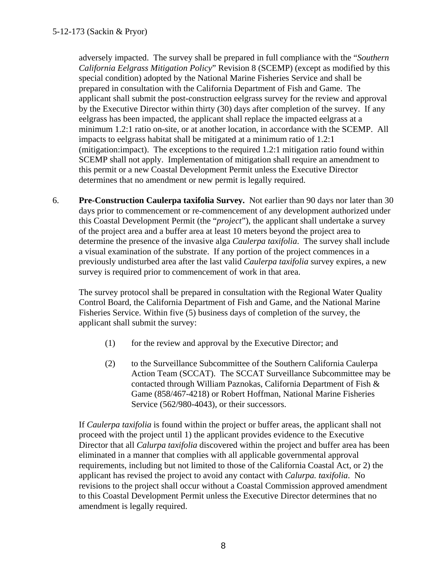adversely impacted. The survey shall be prepared in full compliance with the "*Southern California Eelgrass Mitigation Policy*" Revision 8 (SCEMP) (except as modified by this special condition) adopted by the National Marine Fisheries Service and shall be prepared in consultation with the California Department of Fish and Game. The applicant shall submit the post-construction eelgrass survey for the review and approval by the Executive Director within thirty (30) days after completion of the survey. If any eelgrass has been impacted, the applicant shall replace the impacted eelgrass at a minimum 1.2:1 ratio on-site, or at another location, in accordance with the SCEMP. All impacts to eelgrass habitat shall be mitigated at a minimum ratio of 1.2:1 (mitigation:impact). The exceptions to the required 1.2:1 mitigation ratio found within SCEMP shall not apply. Implementation of mitigation shall require an amendment to this permit or a new Coastal Development Permit unless the Executive Director determines that no amendment or new permit is legally required.

6. **Pre-Construction Caulerpa taxifolia Survey.** Not earlier than 90 days nor later than 30 days prior to commencement or re-commencement of any development authorized under this Coastal Development Permit (the "*project*"), the applicant shall undertake a survey of the project area and a buffer area at least 10 meters beyond the project area to determine the presence of the invasive alga *Caulerpa taxifolia*. The survey shall include a visual examination of the substrate. If any portion of the project commences in a previously undisturbed area after the last valid *Caulerpa taxifolia* survey expires, a new survey is required prior to commencement of work in that area.

The survey protocol shall be prepared in consultation with the Regional Water Quality Control Board, the California Department of Fish and Game, and the National Marine Fisheries Service. Within five (5) business days of completion of the survey, the applicant shall submit the survey:

- (1) for the review and approval by the Executive Director; and
- (2) to the Surveillance Subcommittee of the Southern California Caulerpa Action Team (SCCAT). The SCCAT Surveillance Subcommittee may be contacted through William Paznokas, California Department of Fish & Game (858/467-4218) or Robert Hoffman, National Marine Fisheries Service (562/980-4043), or their successors.

If *Caulerpa taxifolia* is found within the project or buffer areas, the applicant shall not proceed with the project until 1) the applicant provides evidence to the Executive Director that all *Calurpa taxifolia* discovered within the project and buffer area has been eliminated in a manner that complies with all applicable governmental approval requirements, including but not limited to those of the California Coastal Act, or 2) the applicant has revised the project to avoid any contact with *Calurpa. taxifolia*. No revisions to the project shall occur without a Coastal Commission approved amendment to this Coastal Development Permit unless the Executive Director determines that no amendment is legally required.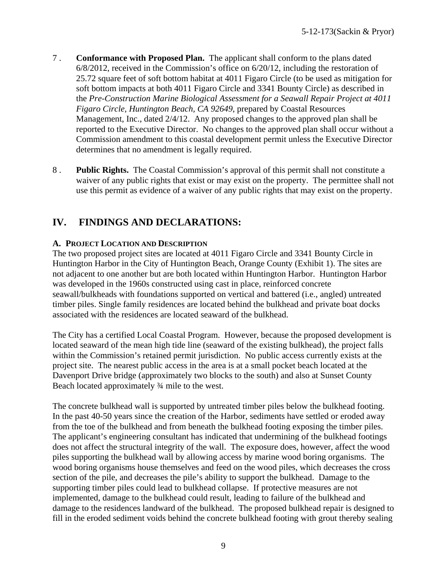- 7 . **Conformance with Proposed Plan.** The applicant shall conform to the plans dated 6/8/2012, received in the Commission's office on 6/20/12, including the restoration of 25.72 square feet of soft bottom habitat at 4011 Figaro Circle (to be used as mitigation for soft bottom impacts at both 4011 Figaro Circle and 3341 Bounty Circle) as described in the *Pre-Construction Marine Biological Assessment for a Seawall Repair Project at 4011 Figaro Circle, Huntington Beach, CA 92649*, prepared by Coastal Resources Management, Inc., dated 2/4/12. Any proposed changes to the approved plan shall be reported to the Executive Director. No changes to the approved plan shall occur without a Commission amendment to this coastal development permit unless the Executive Director determines that no amendment is legally required.
- 8 . **Public Rights.** The Coastal Commission's approval of this permit shall not constitute a waiver of any public rights that exist or may exist on the property. The permittee shall not use this permit as evidence of a waiver of any public rights that may exist on the property.

## **IV. FINDINGS AND DECLARATIONS:**

#### **A. PROJECT LOCATION AND DESCRIPTION**

The two proposed project sites are located at 4011 Figaro Circle and 3341 Bounty Circle in Huntington Harbor in the City of Huntington Beach, Orange County (Exhibit 1). The sites are not adjacent to one another but are both located within Huntington Harbor. Huntington Harbor was developed in the 1960s constructed using cast in place, reinforced concrete seawall/bulkheads with foundations supported on vertical and battered (i.e., angled) untreated timber piles. Single family residences are located behind the bulkhead and private boat docks associated with the residences are located seaward of the bulkhead.

The City has a certified Local Coastal Program. However, because the proposed development is located seaward of the mean high tide line (seaward of the existing bulkhead), the project falls within the Commission's retained permit jurisdiction. No public access currently exists at the project site. The nearest public access in the area is at a small pocket beach located at the Davenport Drive bridge (approximately two blocks to the south) and also at Sunset County Beach located approximately  $\frac{3}{4}$  mile to the west.

The concrete bulkhead wall is supported by untreated timber piles below the bulkhead footing. In the past 40-50 years since the creation of the Harbor, sediments have settled or eroded away from the toe of the bulkhead and from beneath the bulkhead footing exposing the timber piles. The applicant's engineering consultant has indicated that undermining of the bulkhead footings does not affect the structural integrity of the wall. The exposure does, however, affect the wood piles supporting the bulkhead wall by allowing access by marine wood boring organisms. The wood boring organisms house themselves and feed on the wood piles, which decreases the cross section of the pile, and decreases the pile's ability to support the bulkhead. Damage to the supporting timber piles could lead to bulkhead collapse. If protective measures are not implemented, damage to the bulkhead could result, leading to failure of the bulkhead and damage to the residences landward of the bulkhead. The proposed bulkhead repair is designed to fill in the eroded sediment voids behind the concrete bulkhead footing with grout thereby sealing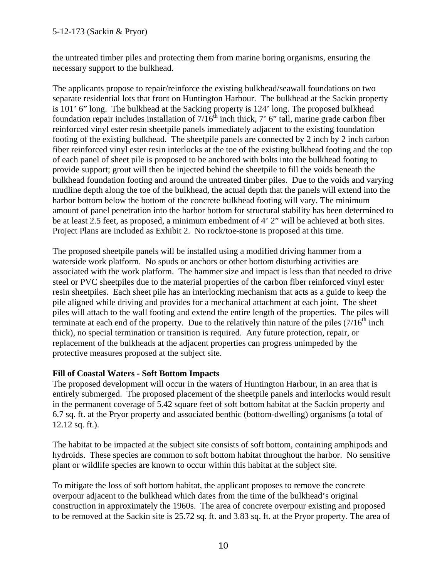#### 5-12-173 (Sackin & Pryor)

the untreated timber piles and protecting them from marine boring organisms, ensuring the necessary support to the bulkhead.

The applicants propose to repair/reinforce the existing bulkhead/seawall foundations on two separate residential lots that front on Huntington Harbour. The bulkhead at the Sackin property is 101' 6" long. The bulkhead at the Sacking property is 124' long. The proposed bulkhead foundation repair includes installation of  $7/16<sup>th</sup>$  inch thick, 7' 6" tall, marine grade carbon fiber reinforced vinyl ester resin sheetpile panels immediately adjacent to the existing foundation footing of the existing bulkhead. The sheetpile panels are connected by 2 inch by 2 inch carbon fiber reinforced vinyl ester resin interlocks at the toe of the existing bulkhead footing and the top of each panel of sheet pile is proposed to be anchored with bolts into the bulkhead footing to provide support; grout will then be injected behind the sheetpile to fill the voids beneath the bulkhead foundation footing and around the untreated timber piles. Due to the voids and varying mudline depth along the toe of the bulkhead, the actual depth that the panels will extend into the harbor bottom below the bottom of the concrete bulkhead footing will vary. The minimum amount of panel penetration into the harbor bottom for structural stability has been determined to be at least 2.5 feet, as proposed, a minimum embedment of 4' 2" will be achieved at both sites. Project Plans are included as Exhibit 2. No rock/toe-stone is proposed at this time.

The proposed sheetpile panels will be installed using a modified driving hammer from a waterside work platform. No spuds or anchors or other bottom disturbing activities are associated with the work platform. The hammer size and impact is less than that needed to drive steel or PVC sheetpiles due to the material properties of the carbon fiber reinforced vinyl ester resin sheetpiles. Each sheet pile has an interlocking mechanism that acts as a guide to keep the pile aligned while driving and provides for a mechanical attachment at each joint. The sheet piles will attach to the wall footing and extend the entire length of the properties. The piles will terminate at each end of the property. Due to the relatively thin nature of the piles  $(7/16<sup>th</sup>$  inch thick), no special termination or transition is required. Any future protection, repair, or replacement of the bulkheads at the adjacent properties can progress unimpeded by the protective measures proposed at the subject site.

#### **Fill of Coastal Waters - Soft Bottom Impacts**

The proposed development will occur in the waters of Huntington Harbour, in an area that is entirely submerged. The proposed placement of the sheetpile panels and interlocks would result in the permanent coverage of 5.42 square feet of soft bottom habitat at the Sackin property and 6.7 sq. ft. at the Pryor property and associated benthic (bottom-dwelling) organisms (a total of 12.12 sq. ft.).

The habitat to be impacted at the subject site consists of soft bottom, containing amphipods and hydroids. These species are common to soft bottom habitat throughout the harbor. No sensitive plant or wildlife species are known to occur within this habitat at the subject site.

To mitigate the loss of soft bottom habitat, the applicant proposes to remove the concrete overpour adjacent to the bulkhead which dates from the time of the bulkhead's original construction in approximately the 1960s. The area of concrete overpour existing and proposed to be removed at the Sackin site is 25.72 sq. ft. and 3.83 sq. ft. at the Pryor property. The area of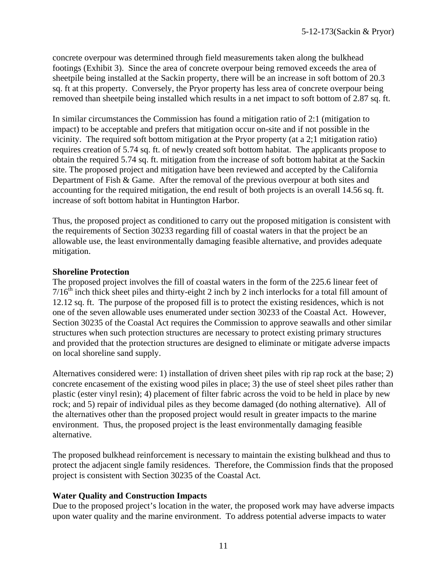concrete overpour was determined through field measurements taken along the bulkhead footings (Exhibit 3). Since the area of concrete overpour being removed exceeds the area of sheetpile being installed at the Sackin property, there will be an increase in soft bottom of 20.3 sq. ft at this property. Conversely, the Pryor property has less area of concrete overpour being removed than sheetpile being installed which results in a net impact to soft bottom of 2.87 sq. ft.

In similar circumstances the Commission has found a mitigation ratio of 2:1 (mitigation to impact) to be acceptable and prefers that mitigation occur on-site and if not possible in the vicinity. The required soft bottom mitigation at the Pryor property (at a 2;1 mitigation ratio) requires creation of 5.74 sq. ft. of newly created soft bottom habitat. The applicants propose to obtain the required 5.74 sq. ft. mitigation from the increase of soft bottom habitat at the Sackin site. The proposed project and mitigation have been reviewed and accepted by the California Department of Fish & Game. After the removal of the previous overpour at both sites and accounting for the required mitigation, the end result of both projects is an overall 14.56 sq. ft. increase of soft bottom habitat in Huntington Harbor.

Thus, the proposed project as conditioned to carry out the proposed mitigation is consistent with the requirements of Section 30233 regarding fill of coastal waters in that the project be an allowable use, the least environmentally damaging feasible alternative, and provides adequate mitigation.

#### **Shoreline Protection**

The proposed project involves the fill of coastal waters in the form of the 225.6 linear feet of  $7/16<sup>th</sup>$  inch thick sheet piles and thirty-eight 2 inch by 2 inch interlocks for a total fill amount of 12.12 sq. ft. The purpose of the proposed fill is to protect the existing residences, which is not one of the seven allowable uses enumerated under section 30233 of the Coastal Act. However, Section 30235 of the Coastal Act requires the Commission to approve seawalls and other similar structures when such protection structures are necessary to protect existing primary structures and provided that the protection structures are designed to eliminate or mitigate adverse impacts on local shoreline sand supply.

Alternatives considered were: 1) installation of driven sheet piles with rip rap rock at the base; 2) concrete encasement of the existing wood piles in place; 3) the use of steel sheet piles rather than plastic (ester vinyl resin); 4) placement of filter fabric across the void to be held in place by new rock; and 5) repair of individual piles as they become damaged (do nothing alternative). All of the alternatives other than the proposed project would result in greater impacts to the marine environment. Thus, the proposed project is the least environmentally damaging feasible alternative.

The proposed bulkhead reinforcement is necessary to maintain the existing bulkhead and thus to protect the adjacent single family residences. Therefore, the Commission finds that the proposed project is consistent with Section 30235 of the Coastal Act.

#### **Water Quality and Construction Impacts**

Due to the proposed project's location in the water, the proposed work may have adverse impacts upon water quality and the marine environment. To address potential adverse impacts to water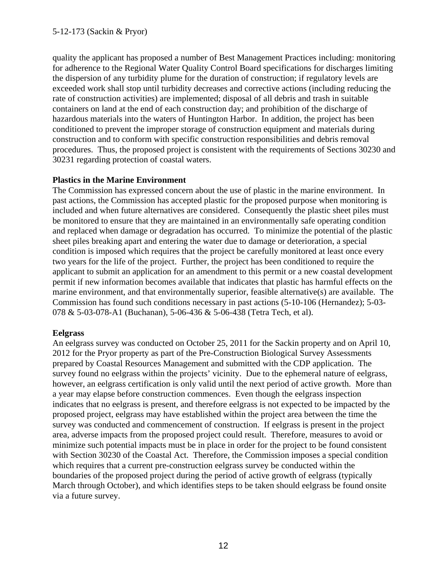quality the applicant has proposed a number of Best Management Practices including: monitoring for adherence to the Regional Water Quality Control Board specifications for discharges limiting the dispersion of any turbidity plume for the duration of construction; if regulatory levels are exceeded work shall stop until turbidity decreases and corrective actions (including reducing the rate of construction activities) are implemented; disposal of all debris and trash in suitable containers on land at the end of each construction day; and prohibition of the discharge of hazardous materials into the waters of Huntington Harbor. In addition, the project has been conditioned to prevent the improper storage of construction equipment and materials during construction and to conform with specific construction responsibilities and debris removal procedures. Thus, the proposed project is consistent with the requirements of Sections 30230 and 30231 regarding protection of coastal waters.

#### **Plastics in the Marine Environment**

The Commission has expressed concern about the use of plastic in the marine environment. In past actions, the Commission has accepted plastic for the proposed purpose when monitoring is included and when future alternatives are considered. Consequently the plastic sheet piles must be monitored to ensure that they are maintained in an environmentally safe operating condition and replaced when damage or degradation has occurred. To minimize the potential of the plastic sheet piles breaking apart and entering the water due to damage or deterioration, a special condition is imposed which requires that the project be carefully monitored at least once every two years for the life of the project. Further, the project has been conditioned to require the applicant to submit an application for an amendment to this permit or a new coastal development permit if new information becomes available that indicates that plastic has harmful effects on the marine environment, and that environmentally superior, feasible alternative(s) are available. The Commission has found such conditions necessary in past actions (5-10-106 (Hernandez); 5-03- 078 & 5-03-078-A1 (Buchanan), 5-06-436 & 5-06-438 (Tetra Tech, et al).

#### **Eelgrass**

An eelgrass survey was conducted on October 25, 2011 for the Sackin property and on April 10, 2012 for the Pryor property as part of the Pre-Construction Biological Survey Assessments prepared by Coastal Resources Management and submitted with the CDP application. The survey found no eelgrass within the projects' vicinity. Due to the ephemeral nature of eelgrass, however, an eelgrass certification is only valid until the next period of active growth. More than a year may elapse before construction commences. Even though the eelgrass inspection indicates that no eelgrass is present, and therefore eelgrass is not expected to be impacted by the proposed project, eelgrass may have established within the project area between the time the survey was conducted and commencement of construction. If eelgrass is present in the project area, adverse impacts from the proposed project could result. Therefore, measures to avoid or minimize such potential impacts must be in place in order for the project to be found consistent with Section 30230 of the Coastal Act. Therefore, the Commission imposes a special condition which requires that a current pre-construction eelgrass survey be conducted within the boundaries of the proposed project during the period of active growth of eelgrass (typically March through October), and which identifies steps to be taken should eelgrass be found onsite via a future survey.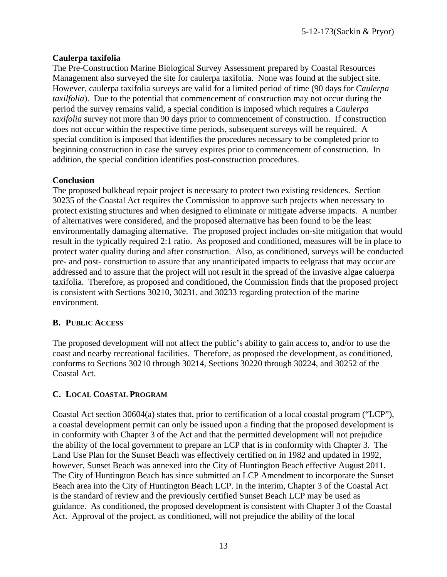#### **Caulerpa taxifolia**

The Pre-Construction Marine Biological Survey Assessment prepared by Coastal Resources Management also surveyed the site for caulerpa taxifolia. None was found at the subject site. However, caulerpa taxifolia surveys are valid for a limited period of time (90 days for *Caulerpa taxilfolia*). Due to the potential that commencement of construction may not occur during the period the survey remains valid, a special condition is imposed which requires a *Caulerpa taxifolia* survey not more than 90 days prior to commencement of construction. If construction does not occur within the respective time periods, subsequent surveys will be required. A special condition is imposed that identifies the procedures necessary to be completed prior to beginning construction in case the survey expires prior to commencement of construction. In addition, the special condition identifies post-construction procedures.

#### **Conclusion**

The proposed bulkhead repair project is necessary to protect two existing residences. Section 30235 of the Coastal Act requires the Commission to approve such projects when necessary to protect existing structures and when designed to eliminate or mitigate adverse impacts. A number of alternatives were considered, and the proposed alternative has been found to be the least environmentally damaging alternative. The proposed project includes on-site mitigation that would result in the typically required 2:1 ratio. As proposed and conditioned, measures will be in place to protect water quality during and after construction. Also, as conditioned, surveys will be conducted pre- and post- construction to assure that any unanticipated impacts to eelgrass that may occur are addressed and to assure that the project will not result in the spread of the invasive algae caluerpa taxifolia. Therefore, as proposed and conditioned, the Commission finds that the proposed project is consistent with Sections 30210, 30231, and 30233 regarding protection of the marine environment.

#### **B. PUBLIC ACCESS**

The proposed development will not affect the public's ability to gain access to, and/or to use the coast and nearby recreational facilities. Therefore, as proposed the development, as conditioned, conforms to Sections 30210 through 30214, Sections 30220 through 30224, and 30252 of the Coastal Act.

#### **C. LOCAL COASTAL PROGRAM**

Coastal Act section 30604(a) states that, prior to certification of a local coastal program ("LCP"), a coastal development permit can only be issued upon a finding that the proposed development is in conformity with Chapter 3 of the Act and that the permitted development will not prejudice the ability of the local government to prepare an LCP that is in conformity with Chapter 3. The Land Use Plan for the Sunset Beach was effectively certified on in 1982 and updated in 1992, however, Sunset Beach was annexed into the City of Huntington Beach effective August 2011. The City of Huntington Beach has since submitted an LCP Amendment to incorporate the Sunset Beach area into the City of Huntington Beach LCP. In the interim, Chapter 3 of the Coastal Act is the standard of review and the previously certified Sunset Beach LCP may be used as guidance. As conditioned, the proposed development is consistent with Chapter 3 of the Coastal Act. Approval of the project, as conditioned, will not prejudice the ability of the local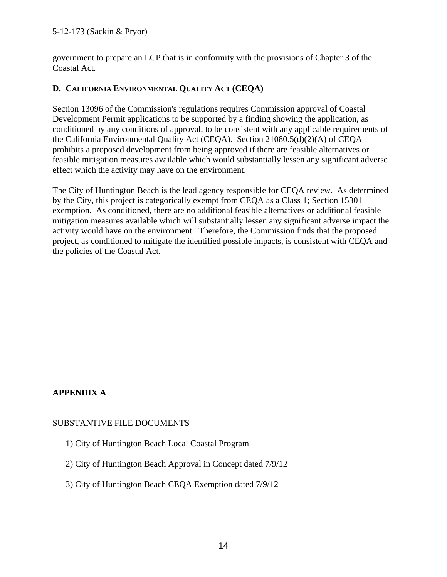government to prepare an LCP that is in conformity with the provisions of Chapter 3 of the Coastal Act.

#### **D. CALIFORNIA ENVIRONMENTAL QUALITY ACT (CEQA)**

Section 13096 of the Commission's regulations requires Commission approval of Coastal Development Permit applications to be supported by a finding showing the application, as conditioned by any conditions of approval, to be consistent with any applicable requirements of the California Environmental Quality Act (CEQA). Section 21080.5(d)(2)(A) of CEQA prohibits a proposed development from being approved if there are feasible alternatives or feasible mitigation measures available which would substantially lessen any significant adverse effect which the activity may have on the environment.

The City of Huntington Beach is the lead agency responsible for CEQA review. As determined by the City, this project is categorically exempt from CEQA as a Class 1; Section 15301 exemption. As conditioned, there are no additional feasible alternatives or additional feasible mitigation measures available which will substantially lessen any significant adverse impact the activity would have on the environment. Therefore, the Commission finds that the proposed project, as conditioned to mitigate the identified possible impacts, is consistent with CEQA and the policies of the Coastal Act.

#### **APPENDIX A**

#### SUBSTANTIVE FILE DOCUMENTS

- 1) City of Huntington Beach Local Coastal Program
- 2) City of Huntington Beach Approval in Concept dated 7/9/12
- 3) City of Huntington Beach CEQA Exemption dated 7/9/12